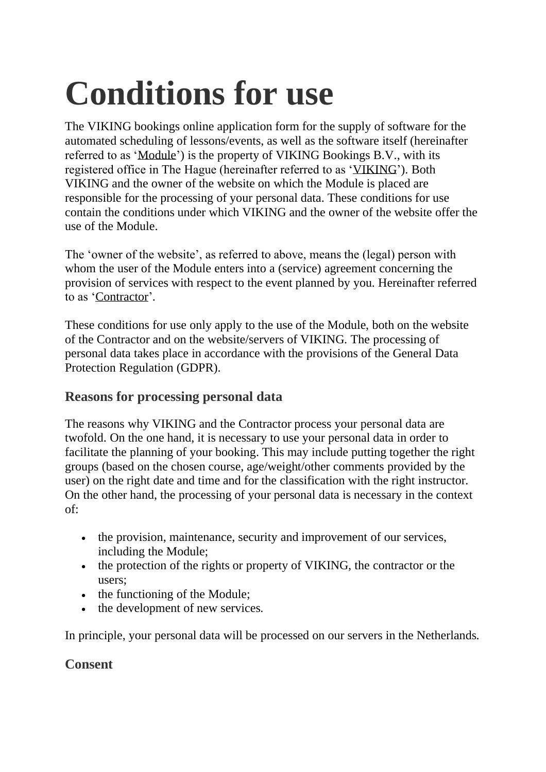# **Conditions for use**

The VIKING bookings online application form for the supply of software for the automated scheduling of lessons/events, as well as the software itself (hereinafter referred to as 'Module') is the property of VIKING Bookings B.V., with its registered office in The Hague (hereinafter referred to as 'VIKING'). Both VIKING and the owner of the website on which the Module is placed are responsible for the processing of your personal data. These conditions for use contain the conditions under which VIKING and the owner of the website offer the use of the Module.

The 'owner of the website', as referred to above, means the (legal) person with whom the user of the Module enters into a (service) agreement concerning the provision of services with respect to the event planned by you. Hereinafter referred to as 'Contractor'.

These conditions for use only apply to the use of the Module, both on the website of the Contractor and on the website/servers of VIKING. The processing of personal data takes place in accordance with the provisions of the General Data Protection Regulation (GDPR).

#### **Reasons for processing personal data**

The reasons why VIKING and the Contractor process your personal data are twofold. On the one hand, it is necessary to use your personal data in order to facilitate the planning of your booking. This may include putting together the right groups (based on the chosen course, age/weight/other comments provided by the user) on the right date and time and for the classification with the right instructor. On the other hand, the processing of your personal data is necessary in the context of:

- the provision, maintenance, security and improvement of our services, including the Module;
- the protection of the rights or property of VIKING, the contractor or the users;
- the functioning of the Module;
- the development of new services.

In principle, your personal data will be processed on our servers in the Netherlands.

#### **Consent**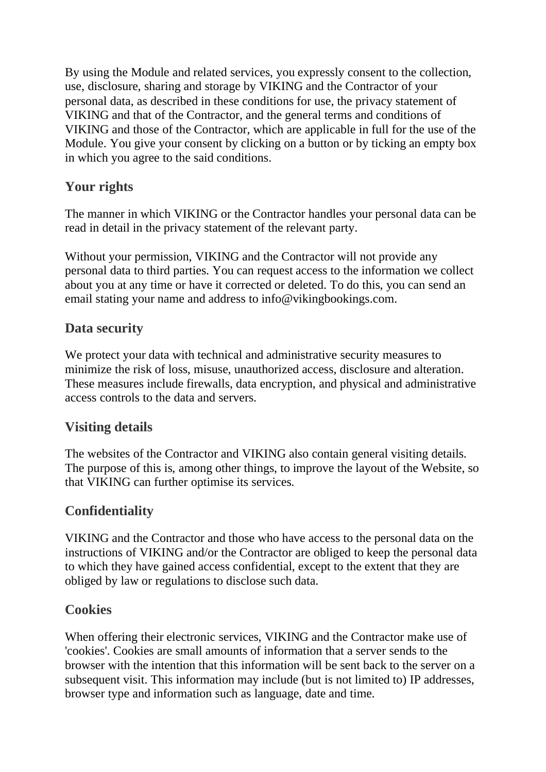By using the Module and related services, you expressly consent to the collection, use, disclosure, sharing and storage by VIKING and the Contractor of your personal data, as described in these conditions for use, the privacy statement of VIKING and that of the Contractor, and the general terms and conditions of VIKING and those of the Contractor, which are applicable in full for the use of the Module. You give your consent by clicking on a button or by ticking an empty box in which you agree to the said conditions.

### **Your rights**

The manner in which VIKING or the Contractor handles your personal data can be read in detail in the privacy statement of the relevant party.

Without your permission, VIKING and the Contractor will not provide any personal data to third parties. You can request access to the information we collect about you at any time or have it corrected or deleted. To do this, you can send an email stating your name and address to info@vikingbookings.com.

#### **Data security**

We protect your data with technical and administrative security measures to minimize the risk of loss, misuse, unauthorized access, disclosure and alteration. These measures include firewalls, data encryption, and physical and administrative access controls to the data and servers.

## **Visiting details**

The websites of the Contractor and VIKING also contain general visiting details. The purpose of this is, among other things, to improve the layout of the Website, so that VIKING can further optimise its services.

## **Confidentiality**

VIKING and the Contractor and those who have access to the personal data on the instructions of VIKING and/or the Contractor are obliged to keep the personal data to which they have gained access confidential, except to the extent that they are obliged by law or regulations to disclose such data.

## **Cookies**

When offering their electronic services, VIKING and the Contractor make use of 'cookies'. Cookies are small amounts of information that a server sends to the browser with the intention that this information will be sent back to the server on a subsequent visit. This information may include (but is not limited to) IP addresses, browser type and information such as language, date and time.